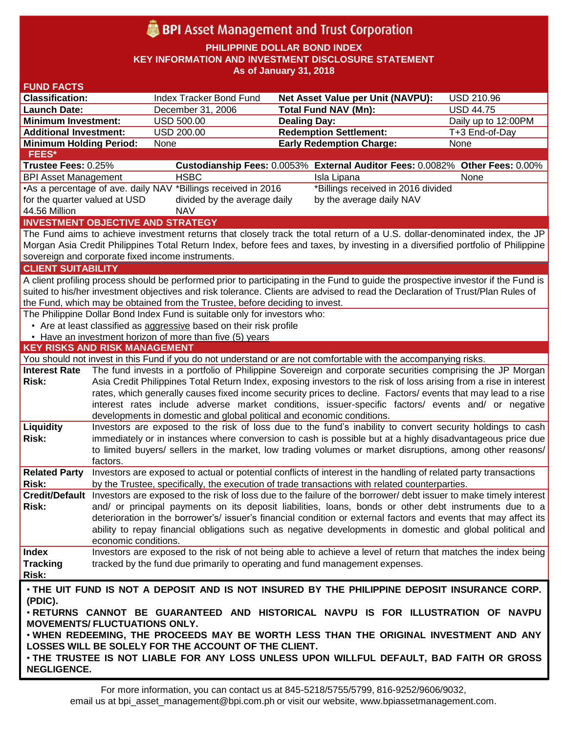# **BPI** Asset Management and Trust Corporation

**PHILIPPINE DOLLAR BOND INDEX**

**KEY INFORMATION AND INVESTMENT DISCLOSURE STATEMENT**

**As of January 31, 2018**

| <b>FUND FACTS</b>                                                                                                                             |                                                                                                                    |                                                                        |                                                                                                                                                                                                                            |                     |  |
|-----------------------------------------------------------------------------------------------------------------------------------------------|--------------------------------------------------------------------------------------------------------------------|------------------------------------------------------------------------|----------------------------------------------------------------------------------------------------------------------------------------------------------------------------------------------------------------------------|---------------------|--|
| <b>Classification:</b>                                                                                                                        |                                                                                                                    | Index Tracker Bond Fund                                                | <b>Net Asset Value per Unit (NAVPU):</b>                                                                                                                                                                                   | <b>USD 210.96</b>   |  |
| <b>Launch Date:</b>                                                                                                                           |                                                                                                                    | December 31, 2006                                                      | <b>Total Fund NAV (Mn):</b>                                                                                                                                                                                                | <b>USD 44.75</b>    |  |
| <b>Minimum Investment:</b>                                                                                                                    |                                                                                                                    | <b>USD 500.00</b>                                                      | <b>Dealing Day:</b>                                                                                                                                                                                                        | Daily up to 12:00PM |  |
| <b>Additional Investment:</b>                                                                                                                 |                                                                                                                    | USD 200.00                                                             | <b>Redemption Settlement:</b>                                                                                                                                                                                              | T+3 End-of-Day      |  |
| <b>Minimum Holding Period:</b>                                                                                                                |                                                                                                                    | None                                                                   | <b>Early Redemption Charge:</b>                                                                                                                                                                                            | None                |  |
| <b>FEES*</b>                                                                                                                                  |                                                                                                                    |                                                                        |                                                                                                                                                                                                                            |                     |  |
| Trustee Fees: 0.25%                                                                                                                           |                                                                                                                    |                                                                        | Custodianship Fees: 0.0053% External Auditor Fees: 0.0082% Other Fees: 0.00%                                                                                                                                               |                     |  |
| <b>BPI Asset Management</b>                                                                                                                   |                                                                                                                    | <b>HSBC</b>                                                            | Isla Lipana                                                                                                                                                                                                                | None                |  |
|                                                                                                                                               |                                                                                                                    | •As a percentage of ave. daily NAV *Billings received in 2016          | *Billings received in 2016 divided                                                                                                                                                                                         |                     |  |
| for the quarter valued at USD                                                                                                                 |                                                                                                                    | divided by the average daily                                           | by the average daily NAV                                                                                                                                                                                                   |                     |  |
| 44.56 Million                                                                                                                                 |                                                                                                                    | <b>NAV</b>                                                             |                                                                                                                                                                                                                            |                     |  |
| <b>INVESTMENT OBJECTIVE AND STRATEGY</b>                                                                                                      |                                                                                                                    |                                                                        |                                                                                                                                                                                                                            |                     |  |
| The Fund aims to achieve investment returns that closely track the total return of a U.S. dollar-denominated index, the JP                    |                                                                                                                    |                                                                        |                                                                                                                                                                                                                            |                     |  |
| Morgan Asia Credit Philippines Total Return Index, before fees and taxes, by investing in a diversified portfolio of Philippine               |                                                                                                                    |                                                                        |                                                                                                                                                                                                                            |                     |  |
| sovereign and corporate fixed income instruments.                                                                                             |                                                                                                                    |                                                                        |                                                                                                                                                                                                                            |                     |  |
| <b>CLIENT SUITABILITY</b>                                                                                                                     |                                                                                                                    |                                                                        |                                                                                                                                                                                                                            |                     |  |
| A client profiling process should be performed prior to participating in the Fund to guide the prospective investor if the Fund is            |                                                                                                                    |                                                                        |                                                                                                                                                                                                                            |                     |  |
| suited to his/her investment objectives and risk tolerance. Clients are advised to read the Declaration of Trust/Plan Rules of                |                                                                                                                    |                                                                        |                                                                                                                                                                                                                            |                     |  |
| the Fund, which may be obtained from the Trustee, before deciding to invest.                                                                  |                                                                                                                    |                                                                        |                                                                                                                                                                                                                            |                     |  |
| The Philippine Dollar Bond Index Fund is suitable only for investors who:                                                                     |                                                                                                                    |                                                                        |                                                                                                                                                                                                                            |                     |  |
| • Are at least classified as aggressive based on their risk profile                                                                           |                                                                                                                    |                                                                        |                                                                                                                                                                                                                            |                     |  |
|                                                                                                                                               |                                                                                                                    | • Have an investment horizon of more than five (5) years               |                                                                                                                                                                                                                            |                     |  |
| <b>KEY RISKS AND RISK MANAGEMENT</b>                                                                                                          |                                                                                                                    |                                                                        |                                                                                                                                                                                                                            |                     |  |
|                                                                                                                                               |                                                                                                                    |                                                                        | You should not invest in this Fund if you do not understand or are not comfortable with the accompanying risks.                                                                                                            |                     |  |
| <b>Interest Rate</b>                                                                                                                          |                                                                                                                    |                                                                        | The fund invests in a portfolio of Philippine Sovereign and corporate securities comprising the JP Morgan                                                                                                                  |                     |  |
| <b>Risk:</b>                                                                                                                                  | Asia Credit Philippines Total Return Index, exposing investors to the risk of loss arising from a rise in interest |                                                                        |                                                                                                                                                                                                                            |                     |  |
|                                                                                                                                               |                                                                                                                    |                                                                        | rates, which generally causes fixed income security prices to decline. Factors/ events that may lead to a rise                                                                                                             |                     |  |
|                                                                                                                                               |                                                                                                                    |                                                                        | interest rates include adverse market conditions, issuer-specific factors/ events and/ or negative                                                                                                                         |                     |  |
|                                                                                                                                               |                                                                                                                    | developments in domestic and global political and economic conditions. |                                                                                                                                                                                                                            |                     |  |
| Liquidity                                                                                                                                     |                                                                                                                    |                                                                        | Investors are exposed to the risk of loss due to the fund's inability to convert security holdings to cash                                                                                                                 |                     |  |
| <b>Risk:</b>                                                                                                                                  |                                                                                                                    |                                                                        | immediately or in instances where conversion to cash is possible but at a highly disadvantageous price due                                                                                                                 |                     |  |
|                                                                                                                                               |                                                                                                                    |                                                                        | to limited buyers/ sellers in the market, low trading volumes or market disruptions, among other reasons/                                                                                                                  |                     |  |
|                                                                                                                                               | factors.                                                                                                           |                                                                        |                                                                                                                                                                                                                            |                     |  |
| <b>Related Party</b><br><b>Risk:</b>                                                                                                          |                                                                                                                    |                                                                        | Investors are exposed to actual or potential conflicts of interest in the handling of related party transactions<br>by the Trustee, specifically, the execution of trade transactions with related counterparties.         |                     |  |
|                                                                                                                                               |                                                                                                                    |                                                                        | Credit/Default Investors are exposed to the risk of loss due to the failure of the borrower/ debt issuer to make timely interest                                                                                           |                     |  |
|                                                                                                                                               |                                                                                                                    |                                                                        |                                                                                                                                                                                                                            |                     |  |
| Risk:                                                                                                                                         |                                                                                                                    |                                                                        | and/ or principal payments on its deposit liabilities, loans, bonds or other debt instruments due to a<br>deterioration in the borrower's/ issuer's financial condition or external factors and events that may affect its |                     |  |
|                                                                                                                                               |                                                                                                                    |                                                                        | ability to repay financial obligations such as negative developments in domestic and global political and                                                                                                                  |                     |  |
|                                                                                                                                               | economic conditions.                                                                                               |                                                                        |                                                                                                                                                                                                                            |                     |  |
| <b>Index</b>                                                                                                                                  |                                                                                                                    |                                                                        | Investors are exposed to the risk of not being able to achieve a level of return that matches the index being                                                                                                              |                     |  |
| <b>Tracking</b>                                                                                                                               |                                                                                                                    |                                                                        | tracked by the fund due primarily to operating and fund management expenses.                                                                                                                                               |                     |  |
| <b>Risk:</b>                                                                                                                                  |                                                                                                                    |                                                                        |                                                                                                                                                                                                                            |                     |  |
|                                                                                                                                               |                                                                                                                    |                                                                        |                                                                                                                                                                                                                            |                     |  |
| . THE UIT FUND IS NOT A DEPOSIT AND IS NOT INSURED BY THE PHILIPPINE DEPOSIT INSURANCE CORP.                                                  |                                                                                                                    |                                                                        |                                                                                                                                                                                                                            |                     |  |
| (PDIC).<br>. RETURNS CANNOT BE GUARANTEED AND HISTORICAL NAVPU IS FOR ILLUSTRATION OF NAVPU                                                   |                                                                                                                    |                                                                        |                                                                                                                                                                                                                            |                     |  |
| <b>MOVEMENTS/ FLUCTUATIONS ONLY.</b>                                                                                                          |                                                                                                                    |                                                                        |                                                                                                                                                                                                                            |                     |  |
|                                                                                                                                               |                                                                                                                    |                                                                        |                                                                                                                                                                                                                            |                     |  |
| . WHEN REDEEMING, THE PROCEEDS MAY BE WORTH LESS THAN THE ORIGINAL INVESTMENT AND ANY<br>LOSSES WILL BE SOLELY FOR THE ACCOUNT OF THE CLIENT. |                                                                                                                    |                                                                        |                                                                                                                                                                                                                            |                     |  |
|                                                                                                                                               |                                                                                                                    |                                                                        |                                                                                                                                                                                                                            |                     |  |
| . THE TRUSTEE IS NOT LIABLE FOR ANY LOSS UNLESS UPON WILLFUL DEFAULT, BAD FAITH OR GROSS                                                      |                                                                                                                    |                                                                        |                                                                                                                                                                                                                            |                     |  |
| <b>NEGLIGENCE.</b>                                                                                                                            |                                                                                                                    |                                                                        |                                                                                                                                                                                                                            |                     |  |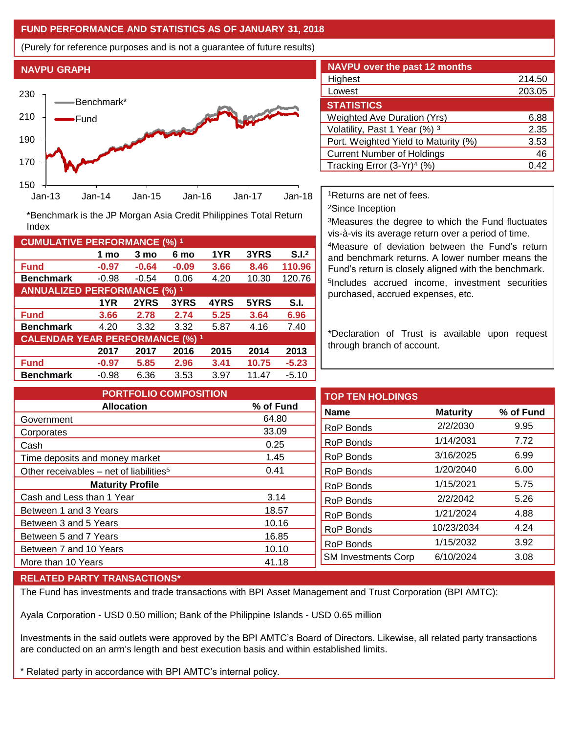# **FUND PERFORMANCE AND STATISTICS AS OF JANUARY 31, 2018**

(Purely for reference purposes and is not a guarantee of future results)

**NAVPU GRAPH** 230 Benchmark\* **Norway**  210 Fund 190 170 150 Jan-13 Jan-14 Jan-15 Jan-16 Jan-17 Jan-18

**Fund -0.97 -0.64 -0.09 3.66 8.46 110.96 Benchmark** -0.98 -0.54 0.06 4.20 10.30 120.76

\*Benchmark is the JP Morgan Asia Credit Philippines Total Return

**Fund 3.66 2.78 2.74 5.25 3.64 6.96 Benchmark** 4.20 3.32 3.32 5.87 4.16 7.40

**Fund -0.97 5.85 2.96 3.41 10.75 -5.23 Benchmark** -0.98 6.36 3.53 3.97 11.47 -5.10

**1 mo 3 mo 6 mo 1YR 3YRS S.I.<sup>2</sup>**

**1YR 2YRS 3YRS 4YRS 5YRS S.I.**

**2017 2017 2016 2015 2014 2013**

| <b>NAVPU over the past 12 months</b>   |        |  |  |  |  |
|----------------------------------------|--------|--|--|--|--|
| Highest                                | 214.50 |  |  |  |  |
| Lowest                                 | 203.05 |  |  |  |  |
| <b>STATISTICS</b>                      |        |  |  |  |  |
| <b>Weighted Ave Duration (Yrs)</b>     | 6.88   |  |  |  |  |
| Volatility, Past 1 Year (%) 3          | 2.35   |  |  |  |  |
| Port. Weighted Yield to Maturity (%)   | 3.53   |  |  |  |  |
| <b>Current Number of Holdings</b>      | 46     |  |  |  |  |
| Tracking Error (3-Yr) <sup>4</sup> (%) | 0.42   |  |  |  |  |

<sup>1</sup>Returns are net of fees.

<sup>2</sup>Since Inception

<sup>3</sup>Measures the degree to which the Fund fluctuates vis-à-vis its average return over a period of time.

<sup>4</sup>Measure of deviation between the Fund's return and benchmark returns. A lower number means the Fund's return is closely aligned with the benchmark. 5 Includes accrued income, investment securities purchased, accrued expenses, etc.

\*Declaration of Trust is available upon request through branch of account.

**TOP TEN HOLDINGS Name Maturity % of Fund** RoP Bonds 2/2/2030 9.95 RoP Bonds 1/14/2031 7.72 RoP Bonds 3/16/2025 6.99 RoP Bonds 1/20/2040 6.00 RoP Bonds 1/15/2021 5.75 RoP Bonds 2/2/2042 5.26 RoP Bonds 1/21/2024 4.88 RoP Bonds 10/23/2034 4.24 RoP Bonds 1/15/2032 3.92 SM Investments Corp 6/10/2024 3.08 **PORTFOLIO COMPOSITION Allocation % of Fund** Government 64.80 Corporates 33.09 Cash 0.25 Time deposits and money market 1.45 Other receivables – net of liabilities<sup>5</sup> 0.41 **Maturity Profile** Cash and Less than 1 Year 3.14 Between 1 and 3 Years 18.57 Between 3 and 5 Years 10.16 Between 5 and 7 Years 16.85 Between 7 and 10 Years 10.10 More than 10 Years 41.18

### **RELATED PARTY TRANSACTIONS\***

**CUMULATIVE PERFORMANCE (%) <sup>1</sup>**

Index

**ANNUALIZED PERFORMANCE (%) <sup>1</sup>**

**CALENDAR YEAR PERFORMANCE (%) <sup>1</sup>**

The Fund has investments and trade transactions with BPI Asset Management and Trust Corporation (BPI AMTC):

Ayala Corporation - USD 0.50 million; Bank of the Philippine Islands - USD 0.65 million

Investments in the said outlets were approved by the BPI AMTC's Board of Directors. Likewise, all related party transactions are conducted on an arm's length and best execution basis and within established limits.

\* Related party in accordance with BPI AMTC's internal policy.